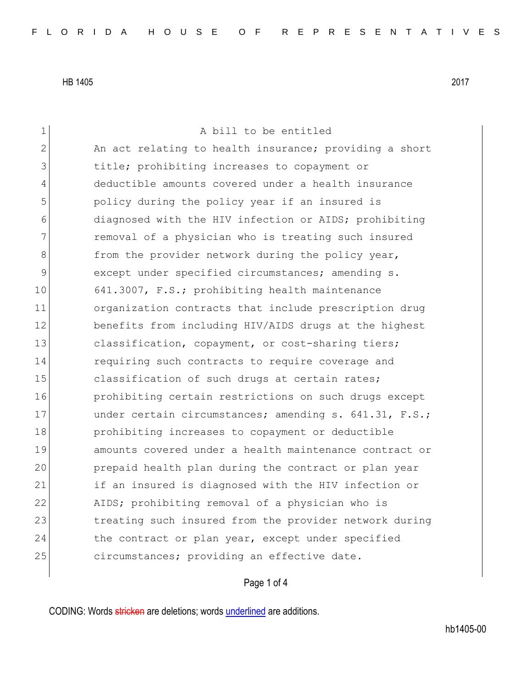1 a bill to be entitled 2 An act relating to health insurance; providing a short 3 title; prohibiting increases to copayment or 4 deductible amounts covered under a health insurance 5 **b** policy during the policy year if an insured is 6 6 diagnosed with the HIV infection or AIDS; prohibiting 7 **removal of a physician who is treating such insured** 8 **from** the provider network during the policy year, 9 except under specified circumstances; amending s. 10 641.3007, F.S.; prohibiting health maintenance 11 organization contracts that include prescription drug 12 benefits from including HIV/AIDS drugs at the highest 13 classification, copayment, or cost-sharing tiers; 14 requiring such contracts to require coverage and 15 classification of such drugs at certain rates; 16 prohibiting certain restrictions on such drugs except 17 under certain circumstances; amending s. 641.31, F.S.; 18 **prohibiting increases to copayment or deductible** 19 amounts covered under a health maintenance contract or 20 prepaid health plan during the contract or plan year 21 if an insured is diagnosed with the HIV infection or 22 AIDS; prohibiting removal of a physician who is 23 treating such insured from the provider network during 24 the contract or plan year, except under specified 25 circumstances; providing an effective date.

## Page 1 of 4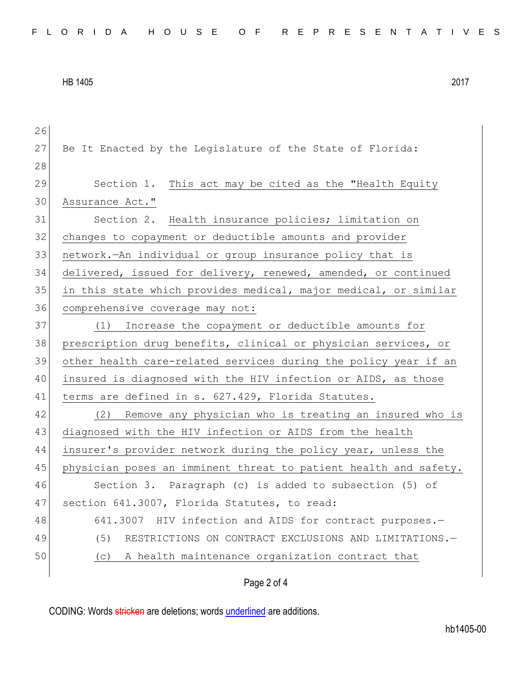| 26 |                                                                  |
|----|------------------------------------------------------------------|
| 27 | Be It Enacted by the Legislature of the State of Florida:        |
| 28 |                                                                  |
| 29 | Section 1. This act may be cited as the "Health Equity           |
| 30 | Assurance Act."                                                  |
| 31 | Section 2. Health insurance policies; limitation on              |
| 32 | changes to copayment or deductible amounts and provider          |
| 33 | network. An individual or group insurance policy that is         |
| 34 | delivered, issued for delivery, renewed, amended, or continued   |
| 35 | in this state which provides medical, major medical, or similar  |
| 36 | comprehensive coverage may not:                                  |
| 37 | Increase the copayment or deductible amounts for<br>(1)          |
| 38 | prescription drug benefits, clinical or physician services, or   |
| 39 | other health care-related services during the policy year if an  |
| 40 | insured is diagnosed with the HIV infection or AIDS, as those    |
| 41 | terms are defined in s. 627.429, Florida Statutes.               |
| 42 | (2) Remove any physician who is treating an insured who is       |
| 43 | diagnosed with the HIV infection or AIDS from the health         |
| 44 | insurer's provider network during the policy year, unless the    |
| 45 | physician poses an imminent threat to patient health and safety. |
| 46 | Section 3. Paragraph (c) is added to subsection (5) of           |
| 47 | section 641.3007, Florida Statutes, to read:                     |
| 48 | 641.3007 HIV infection and AIDS for contract purposes.-          |
| 49 | (5) RESTRICTIONS ON CONTRACT EXCLUSIONS AND LIMITATIONS.-        |
| 50 | (c) A health maintenance organization contract that              |
|    |                                                                  |

## Page 2 of 4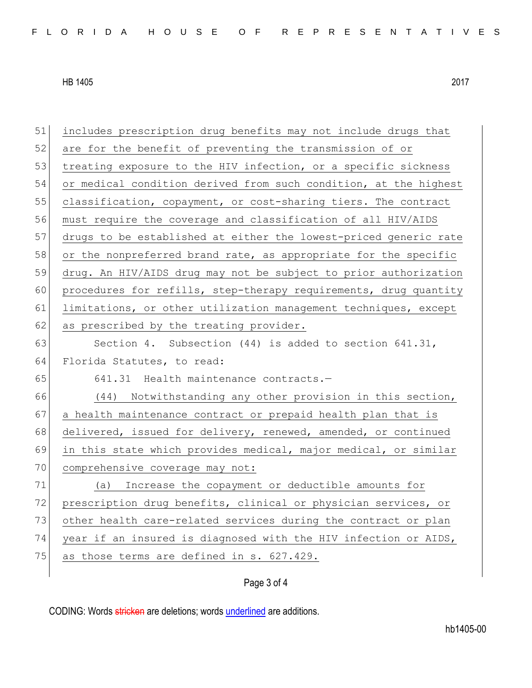| 51 | includes prescription drug benefits may not include drugs that   |
|----|------------------------------------------------------------------|
| 52 | are for the benefit of preventing the transmission of or         |
| 53 | treating exposure to the HIV infection, or a specific sickness   |
| 54 | or medical condition derived from such condition, at the highest |
| 55 | classification, copayment, or cost-sharing tiers. The contract   |
| 56 | must require the coverage and classification of all HIV/AIDS     |
| 57 | drugs to be established at either the lowest-priced generic rate |
| 58 | or the nonpreferred brand rate, as appropriate for the specific  |
| 59 | drug. An HIV/AIDS drug may not be subject to prior authorization |
| 60 | procedures for refills, step-therapy requirements, drug quantity |
| 61 | limitations, or other utilization management techniques, except  |
| 62 | as prescribed by the treating provider.                          |
| 63 | Section 4. Subsection $(44)$ is added to section $641.31$ ,      |
| 64 | Florida Statutes, to read:                                       |
| 65 | 641.31 Health maintenance contracts.-                            |
| 66 | (44) Notwithstanding any other provision in this section,        |
| 67 | a health maintenance contract or prepaid health plan that is     |
| 68 | delivered, issued for delivery, renewed, amended, or continued   |
| 69 | in this state which provides medical, major medical, or similar  |
| 70 | comprehensive coverage may not:                                  |
| 71 | Increase the copayment or deductible amounts for<br>(a)          |
| 72 | prescription drug benefits, clinical or physician services, or   |
| 73 | other health care-related services during the contract or plan   |
| 74 | year if an insured is diagnosed with the HIV infection or AIDS,  |
| 75 | as those terms are defined in s. 627.429.                        |
|    |                                                                  |

## Page 3 of 4